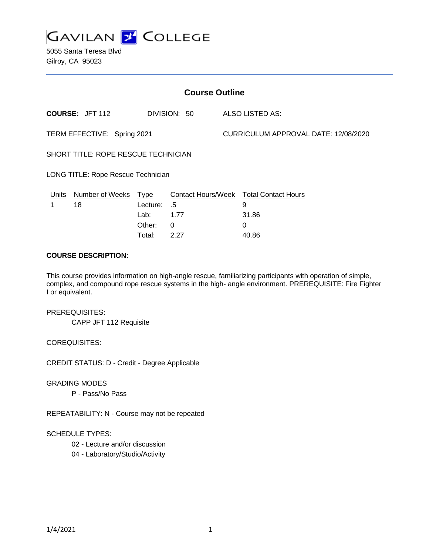

5055 Santa Teresa Blvd Gilroy, CA 95023

| <b>Course Outline</b>               |                        |          |              |                                      |                                        |
|-------------------------------------|------------------------|----------|--------------|--------------------------------------|----------------------------------------|
|                                     | <b>COURSE: JFT 112</b> |          | DIVISION: 50 |                                      | ALSO LISTED AS:                        |
| TERM EFFECTIVE: Spring 2021         |                        |          |              | CURRICULUM APPROVAL DATE: 12/08/2020 |                                        |
| SHORT TITLE: ROPE RESCUE TECHNICIAN |                        |          |              |                                      |                                        |
| LONG TITLE: Rope Rescue Technician  |                        |          |              |                                      |                                        |
| Units                               | Number of Weeks Type   |          |              |                                      | Contact Hours/Week Total Contact Hours |
| 1                                   | 18                     | Lecture: | .5           |                                      | 9                                      |
|                                     |                        | Lab:     | 1.77         |                                      | 31.86                                  |
|                                     |                        | Other:   | 0            |                                      | 0                                      |
|                                     |                        | Total:   | 2.27         |                                      | 40.86                                  |

#### **COURSE DESCRIPTION:**

This course provides information on high-angle rescue, familiarizing participants with operation of simple, complex, and compound rope rescue systems in the high- angle environment. PREREQUISITE: Fire Fighter I or equivalent.

#### PREREQUISITES:

CAPP JFT 112 Requisite

## COREQUISITES:

CREDIT STATUS: D - Credit - Degree Applicable

#### GRADING MODES

P - Pass/No Pass

REPEATABILITY: N - Course may not be repeated

### SCHEDULE TYPES:

- 02 Lecture and/or discussion
- 04 Laboratory/Studio/Activity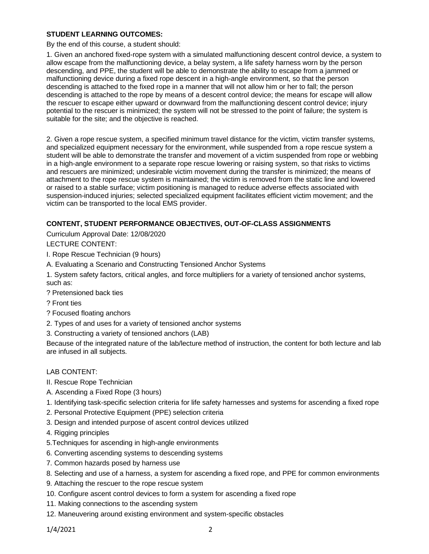### **STUDENT LEARNING OUTCOMES:**

By the end of this course, a student should:

1. Given an anchored fixed-rope system with a simulated malfunctioning descent control device, a system to allow escape from the malfunctioning device, a belay system, a life safety harness worn by the person descending, and PPE, the student will be able to demonstrate the ability to escape from a jammed or malfunctioning device during a fixed rope descent in a high-angle environment, so that the person descending is attached to the fixed rope in a manner that will not allow him or her to fall; the person descending is attached to the rope by means of a descent control device; the means for escape will allow the rescuer to escape either upward or downward from the malfunctioning descent control device; injury potential to the rescuer is minimized; the system will not be stressed to the point of failure; the system is suitable for the site; and the objective is reached.

2. Given a rope rescue system, a specified minimum travel distance for the victim, victim transfer systems, and specialized equipment necessary for the environment, while suspended from a rope rescue system a student will be able to demonstrate the transfer and movement of a victim suspended from rope or webbing in a high-angle environment to a separate rope rescue lowering or raising system, so that risks to victims and rescuers are minimized; undesirable victim movement during the transfer is minimized; the means of attachment to the rope rescue system is maintained; the victim is removed from the static line and lowered or raised to a stable surface; victim positioning is managed to reduce adverse effects associated with suspension-induced injuries; selected specialized equipment facilitates efficient victim movement; and the victim can be transported to the local EMS provider.

# **CONTENT, STUDENT PERFORMANCE OBJECTIVES, OUT-OF-CLASS ASSIGNMENTS**

Curriculum Approval Date: 12/08/2020 LECTURE CONTENT:

- I. Rope Rescue Technician (9 hours)
- A. Evaluating a Scenario and Constructing Tensioned Anchor Systems

1. System safety factors, critical angles, and force multipliers for a variety of tensioned anchor systems, such as:

- ? Pretensioned back ties
- ? Front ties
- ? Focused floating anchors
- 2. Types of and uses for a variety of tensioned anchor systems
- 3. Constructing a variety of tensioned anchors (LAB)

Because of the integrated nature of the lab/lecture method of instruction, the content for both lecture and lab are infused in all subjects.

### LAB CONTENT:

- II. Rescue Rope Technician
- A. Ascending a Fixed Rope (3 hours)
- 1. Identifying task-specific selection criteria for life safety harnesses and systems for ascending a fixed rope
- 2. Personal Protective Equipment (PPE) selection criteria
- 3. Design and intended purpose of ascent control devices utilized
- 4. Rigging principles
- 5.Techniques for ascending in high-angle environments
- 6. Converting ascending systems to descending systems
- 7. Common hazards posed by harness use
- 8. Selecting and use of a harness, a system for ascending a fixed rope, and PPE for common environments
- 9. Attaching the rescuer to the rope rescue system
- 10. Configure ascent control devices to form a system for ascending a fixed rope
- 11. Making connections to the ascending system
- 12. Maneuvering around existing environment and system-specific obstacles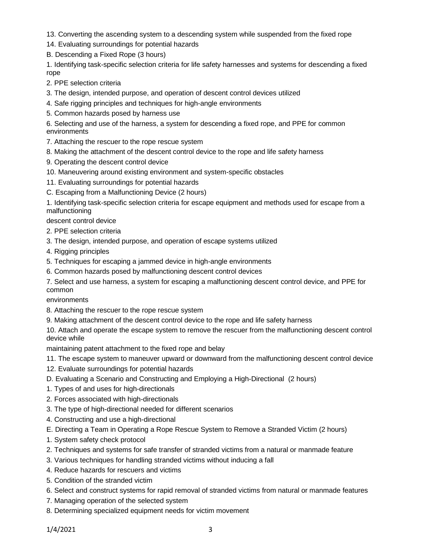- 13. Converting the ascending system to a descending system while suspended from the fixed rope
- 14. Evaluating surroundings for potential hazards
- B. Descending a Fixed Rope (3 hours)

1. Identifying task-specific selection criteria for life safety harnesses and systems for descending a fixed rope

- 2. PPE selection criteria
- 3. The design, intended purpose, and operation of descent control devices utilized
- 4. Safe rigging principles and techniques for high-angle environments
- 5. Common hazards posed by harness use

6. Selecting and use of the harness, a system for descending a fixed rope, and PPE for common environments

- 7. Attaching the rescuer to the rope rescue system
- 8. Making the attachment of the descent control device to the rope and life safety harness
- 9. Operating the descent control device
- 10. Maneuvering around existing environment and system-specific obstacles
- 11. Evaluating surroundings for potential hazards
- C. Escaping from a Malfunctioning Device (2 hours)

1. Identifying task-specific selection criteria for escape equipment and methods used for escape from a malfunctioning

descent control device

- 2. PPE selection criteria
- 3. The design, intended purpose, and operation of escape systems utilized
- 4. Rigging principles
- 5. Techniques for escaping a jammed device in high-angle environments
- 6. Common hazards posed by malfunctioning descent control devices
- 7. Select and use harness, a system for escaping a malfunctioning descent control device, and PPE for common

environments

- 8. Attaching the rescuer to the rope rescue system
- 9. Making attachment of the descent control device to the rope and life safety harness

10. Attach and operate the escape system to remove the rescuer from the malfunctioning descent control device while

maintaining patent attachment to the fixed rope and belay

- 11. The escape system to maneuver upward or downward from the malfunctioning descent control device
- 12. Evaluate surroundings for potential hazards
- D. Evaluating a Scenario and Constructing and Employing a High-Directional (2 hours)
- 1. Types of and uses for high-directionals
- 2. Forces associated with high-directionals
- 3. The type of high-directional needed for different scenarios
- 4. Constructing and use a high-directional
- E. Directing a Team in Operating a Rope Rescue System to Remove a Stranded Victim (2 hours)
- 1. System safety check protocol
- 2. Techniques and systems for safe transfer of stranded victims from a natural or manmade feature
- 3. Various techniques for handling stranded victims without inducing a fall
- 4. Reduce hazards for rescuers and victims
- 5. Condition of the stranded victim
- 6. Select and construct systems for rapid removal of stranded victims from natural or manmade features
- 7. Managing operation of the selected system
- 8. Determining specialized equipment needs for victim movement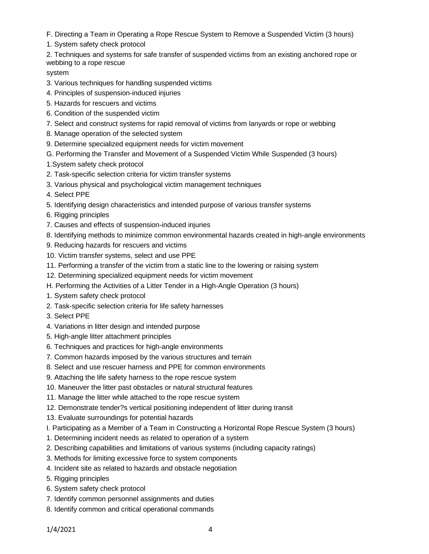F. Directing a Team in Operating a Rope Rescue System to Remove a Suspended Victim (3 hours)

1. System safety check protocol

2. Techniques and systems for safe transfer of suspended victims from an existing anchored rope or webbing to a rope rescue

### system

- 3. Various techniques for handling suspended victims
- 4. Principles of suspension-induced injuries
- 5. Hazards for rescuers and victims
- 6. Condition of the suspended victim
- 7. Select and construct systems for rapid removal of victims from lanyards or rope or webbing
- 8. Manage operation of the selected system
- 9. Determine specialized equipment needs for victim movement
- G. Performing the Transfer and Movement of a Suspended Victim While Suspended (3 hours)
- 1.System safety check protocol
- 2. Task-specific selection criteria for victim transfer systems
- 3. Various physical and psychological victim management techniques
- 4. Select PPE
- 5. Identifying design characteristics and intended purpose of various transfer systems
- 6. Rigging principles
- 7. Causes and effects of suspension-induced injuries
- 8. Identifying methods to minimize common environmental hazards created in high-angle environments
- 9. Reducing hazards for rescuers and victims
- 10. Victim transfer systems, select and use PPE
- 11. Performing a transfer of the victim from a static line to the lowering or raising system
- 12. Determining specialized equipment needs for victim movement
- H. Performing the Activities of a Litter Tender in a High-Angle Operation (3 hours)
- 1. System safety check protocol
- 2. Task-specific selection criteria for life safety harnesses
- 3. Select PPE
- 4. Variations in litter design and intended purpose
- 5. High-angle litter attachment principles
- 6. Techniques and practices for high-angle environments
- 7. Common hazards imposed by the various structures and terrain
- 8. Select and use rescuer harness and PPE for common environments
- 9. Attaching the life safety harness to the rope rescue system
- 10. Maneuver the litter past obstacles or natural structural features
- 11. Manage the litter while attached to the rope rescue system
- 12. Demonstrate tender?s vertical positioning independent of litter during transit
- 13. Evaluate surroundings for potential hazards
- I. Participating as a Member of a Team in Constructing a Horizontal Rope Rescue System (3 hours)
- 1. Determining incident needs as related to operation of a system
- 2. Describing capabilities and limitations of various systems (including capacity ratings)
- 3. Methods for limiting excessive force to system components
- 4. Incident site as related to hazards and obstacle negotiation
- 5. Rigging principles
- 6. System safety check protocol
- 7. Identify common personnel assignments and duties
- 8. Identify common and critical operational commands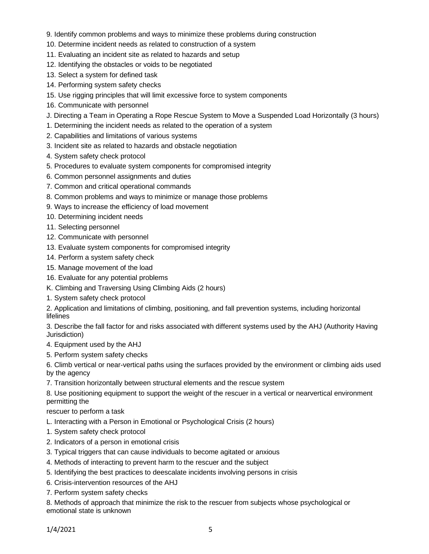- 9. Identify common problems and ways to minimize these problems during construction
- 10. Determine incident needs as related to construction of a system
- 11. Evaluating an incident site as related to hazards and setup
- 12. Identifying the obstacles or voids to be negotiated
- 13. Select a system for defined task
- 14. Performing system safety checks
- 15. Use rigging principles that will limit excessive force to system components
- 16. Communicate with personnel
- J. Directing a Team in Operating a Rope Rescue System to Move a Suspended Load Horizontally (3 hours)
- 1. Determining the incident needs as related to the operation of a system
- 2. Capabilities and limitations of various systems
- 3. Incident site as related to hazards and obstacle negotiation
- 4. System safety check protocol
- 5. Procedures to evaluate system components for compromised integrity
- 6. Common personnel assignments and duties
- 7. Common and critical operational commands
- 8. Common problems and ways to minimize or manage those problems
- 9. Ways to increase the efficiency of load movement
- 10. Determining incident needs
- 11. Selecting personnel
- 12. Communicate with personnel
- 13. Evaluate system components for compromised integrity
- 14. Perform a system safety check
- 15. Manage movement of the load
- 16. Evaluate for any potential problems
- K. Climbing and Traversing Using Climbing Aids (2 hours)
- 1. System safety check protocol

2. Application and limitations of climbing, positioning, and fall prevention systems, including horizontal lifelines

3. Describe the fall factor for and risks associated with different systems used by the AHJ (Authority Having Jurisdiction)

- 4. Equipment used by the AHJ
- 5. Perform system safety checks

6. Climb vertical or near-vertical paths using the surfaces provided by the environment or climbing aids used by the agency

7. Transition horizontally between structural elements and the rescue system

8. Use positioning equipment to support the weight of the rescuer in a vertical or nearvertical environment permitting the

rescuer to perform a task

- L. Interacting with a Person in Emotional or Psychological Crisis (2 hours)
- 1. System safety check protocol
- 2. Indicators of a person in emotional crisis
- 3. Typical triggers that can cause individuals to become agitated or anxious
- 4. Methods of interacting to prevent harm to the rescuer and the subject
- 5. Identifying the best practices to deescalate incidents involving persons in crisis
- 6. Crisis-intervention resources of the AHJ
- 7. Perform system safety checks

8. Methods of approach that minimize the risk to the rescuer from subjects whose psychological or emotional state is unknown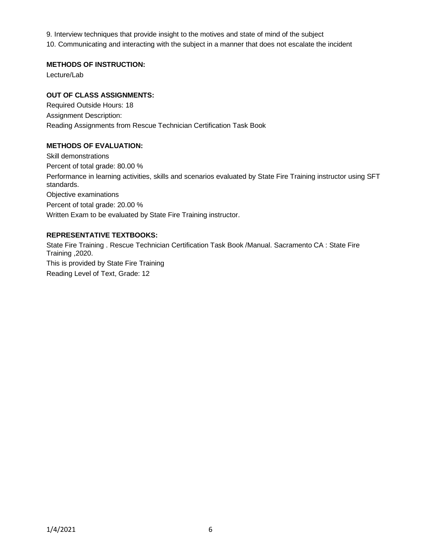9. Interview techniques that provide insight to the motives and state of mind of the subject

10. Communicating and interacting with the subject in a manner that does not escalate the incident

## **METHODS OF INSTRUCTION:**

Lecture/Lab

# **OUT OF CLASS ASSIGNMENTS:**

Required Outside Hours: 18 Assignment Description: Reading Assignments from Rescue Technician Certification Task Book

# **METHODS OF EVALUATION:**

Skill demonstrations Percent of total grade: 80.00 % Performance in learning activities, skills and scenarios evaluated by State Fire Training instructor using SFT standards. Objective examinations Percent of total grade: 20.00 % Written Exam to be evaluated by State Fire Training instructor.

# **REPRESENTATIVE TEXTBOOKS:**

State Fire Training . Rescue Technician Certification Task Book /Manual. Sacramento CA : State Fire Training ,2020. This is provided by State Fire Training Reading Level of Text, Grade: 12